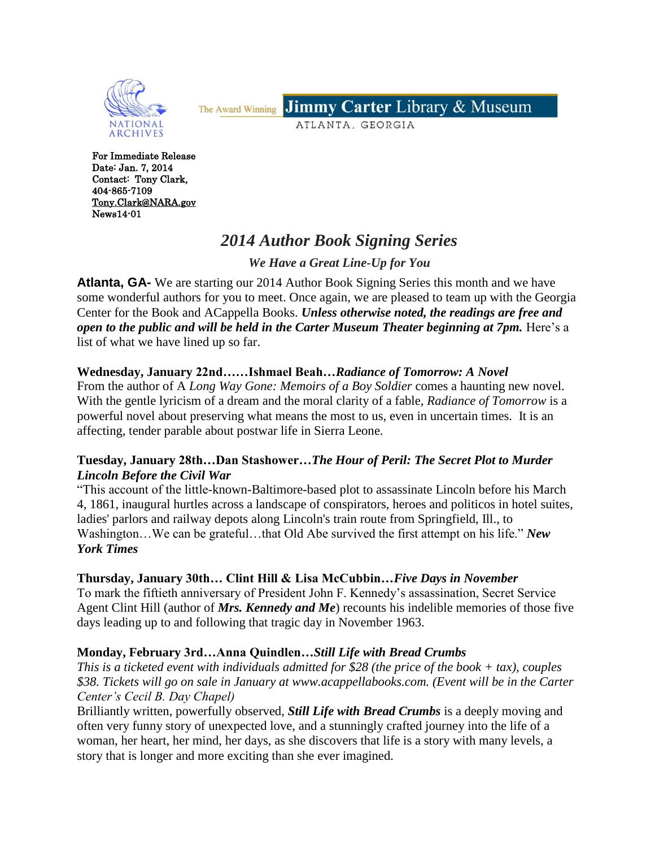

**Jimmy Carter Library & Museum** The Award Winning

ATLANTA, GEORGIA

For Immediate Release Date: Jan. 7, 2014 Contact: Tony Clark, 404-865-7109 [Tony.Clark@NARA.gov](mailto:Tony.Clark@NARA.gov)  News14-01

# *2014 Author Book Signing Series*

*We Have a Great Line-Up for You*

**Atlanta, GA-** We are starting our 2014 Author Book Signing Series this month and we have some wonderful authors for you to meet. Once again, we are pleased to team up with the Georgia Center for the Book and ACappella Books. *Unless otherwise noted, the readings are free and open to the public and will be held in the Carter Museum Theater beginning at 7pm.* Here's a list of what we have lined up so far.

## **Wednesday, January 22nd……Ishmael Beah…***Radiance of Tomorrow: A Novel*

From the author of A *Long Way Gone: Memoirs of a Boy Soldier* comes a haunting new novel. With the gentle lyricism of a dream and the moral clarity of a fable, *Radiance of Tomorrow* is a powerful novel about preserving what means the most to us, even in uncertain times. It is an affecting, tender parable about postwar life in Sierra Leone.

#### **Tuesday, January 28th…Dan Stashower…***The Hour of Peril: The Secret Plot to Murder Lincoln Before the Civil War*

"This account of the little-known-Baltimore-based plot to assassinate Lincoln before his March 4, 1861, inaugural hurtles across a landscape of conspirators, heroes and politicos in hotel suites, ladies' parlors and railway depots along Lincoln's train route from Springfield, Ill., to Washington…We can be grateful…that Old Abe survived the first attempt on his life." *New York Times*

#### **Thursday, January 30th… Clint Hill & Lisa McCubbin…***Five Days in November*

To mark the fiftieth anniversary of President John F. Kennedy's assassination, Secret Service Agent Clint Hill (author of *Mrs. Kennedy and Me*) recounts his indelible memories of those five days leading up to and following that tragic day in November 1963.

## **Monday, February 3rd…Anna Quindlen…***Still Life with Bread Crumbs*

*This is a ticketed event with individuals admitted for \$28 (the price of the book + tax), couples \$38. Tickets will go on sale in January at www.acappellabooks.com. (Event will be in the Carter Center's Cecil B. Day Chapel)*

Brilliantly written, powerfully observed, *Still Life with Bread Crumbs* is a deeply moving and often very funny story of unexpected love, and a stunningly crafted journey into the life of a woman, her heart, her mind, her days, as she discovers that life is a story with many levels, a story that is longer and more exciting than she ever imagined.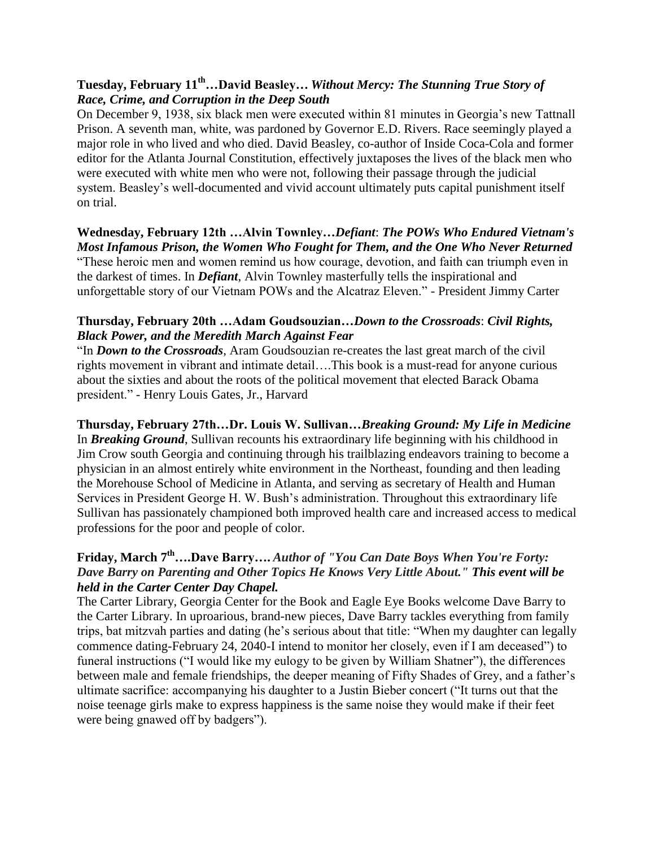## **Tuesday, February 11th…David Beasley…** *Without Mercy: The Stunning True Story of Race, Crime, and Corruption in the Deep South*

On December 9, 1938, six black men were executed within 81 minutes in Georgia's new Tattnall Prison. A seventh man, white, was pardoned by Governor E.D. Rivers. Race seemingly played a major role in who lived and who died. David Beasley, co-author of Inside Coca-Cola and former editor for the Atlanta Journal Constitution, effectively juxtaposes the lives of the black men who were executed with white men who were not, following their passage through the judicial system. Beasley's well-documented and vivid account ultimately puts capital punishment itself on trial.

**Wednesday, February 12th …Alvin Townley…***Defiant*: *The POWs Who Endured Vietnam's Most Infamous Prison, the Women Who Fought for Them, and the One Who Never Returned* "These heroic men and women remind us how courage, devotion, and faith can triumph even in the darkest of times. In *Defiant*, Alvin Townley masterfully tells the inspirational and unforgettable story of our Vietnam POWs and the Alcatraz Eleven." - President Jimmy Carter

#### **Thursday, February 20th …Adam Goudsouzian…***Down to the Crossroads*: *Civil Rights, Black Power, and the Meredith March Against Fear*

"In *Down to the Crossroads*, Aram Goudsouzian re-creates the last great march of the civil rights movement in vibrant and intimate detail….This book is a must-read for anyone curious about the sixties and about the roots of the political movement that elected Barack Obama president." - Henry Louis Gates, Jr., Harvard

**Thursday, February 27th…Dr. Louis W. Sullivan…***Breaking Ground: My Life in Medicine* In *Breaking Ground*, Sullivan recounts his extraordinary life beginning with his childhood in Jim Crow south Georgia and continuing through his trailblazing endeavors training to become a physician in an almost entirely white environment in the Northeast, founding and then leading the Morehouse School of Medicine in Atlanta, and serving as secretary of Health and Human Services in President George H. W. Bush's administration. Throughout this extraordinary life Sullivan has passionately championed both improved health care and increased access to medical professions for the poor and people of color.

## **Friday, March 7th….Dave Barry….** *Author of "You Can Date Boys When You're Forty: Dave Barry on Parenting and Other Topics He Knows Very Little About." This event will be held in the Carter Center Day Chapel.*

The Carter Library, Georgia Center for the Book and Eagle Eye Books welcome Dave Barry to the Carter Library. In uproarious, brand-new pieces, Dave Barry tackles everything from family trips, bat mitzvah parties and dating (he's serious about that title: "When my daughter can legally commence dating-February 24, 2040-I intend to monitor her closely, even if I am deceased") to funeral instructions ("I would like my eulogy to be given by William Shatner"), the differences between male and female friendships, the deeper meaning of Fifty Shades of Grey, and a father's ultimate sacrifice: accompanying his daughter to a Justin Bieber concert ("It turns out that the noise teenage girls make to express happiness is the same noise they would make if their feet were being gnawed off by badgers").